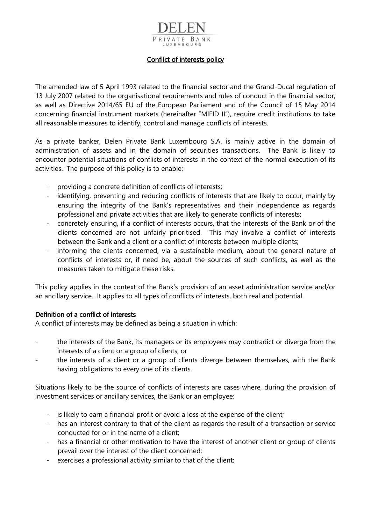# PRIVATE BANK LUXEMBOURG

#### Conflict of interests policy

The amended law of 5 April 1993 related to the financial sector and the Grand-Ducal regulation of 13 July 2007 related to the organisational requirements and rules of conduct in the financial sector, as well as Directive 2014/65 EU of the European Parliament and of the Council of 15 May 2014 concerning financial instrument markets (hereinafter "MIFID II"), require credit institutions to take all reasonable measures to identify, control and manage conflicts of interests.

As a private banker, Delen Private Bank Luxembourg S.A. is mainly active in the domain of administration of assets and in the domain of securities transactions. The Bank is likely to encounter potential situations of conflicts of interests in the context of the normal execution of its activities. The purpose of this policy is to enable:

- providing a concrete definition of conflicts of interests;
- identifying, preventing and reducing conflicts of interests that are likely to occur, mainly by ensuring the integrity of the Bank's representatives and their independence as regards professional and private activities that are likely to generate conflicts of interests;
- concretely ensuring, if a conflict of interests occurs, that the interests of the Bank or of the clients concerned are not unfairly prioritised. This may involve a conflict of interests between the Bank and a client or a conflict of interests between multiple clients;
- informing the clients concerned, via a sustainable medium, about the general nature of conflicts of interests or, if need be, about the sources of such conflicts, as well as the measures taken to mitigate these risks.

This policy applies in the context of the Bank's provision of an asset administration service and/or an ancillary service. It applies to all types of conflicts of interests, both real and potential.

#### Definition of a conflict of interests

A conflict of interests may be defined as being a situation in which:

- the interests of the Bank, its managers or its employees may contradict or diverge from the interests of a client or a group of clients, or
- the interests of a client or a group of clients diverge between themselves, with the Bank having obligations to every one of its clients.

Situations likely to be the source of conflicts of interests are cases where, during the provision of investment services or ancillary services, the Bank or an employee:

- is likely to earn a financial profit or avoid a loss at the expense of the client;
- has an interest contrary to that of the client as regards the result of a transaction or service conducted for or in the name of a client;
- has a financial or other motivation to have the interest of another client or group of clients prevail over the interest of the client concerned;
- exercises a professional activity similar to that of the client;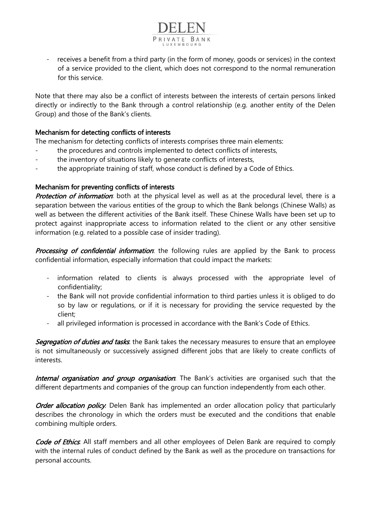receives a benefit from a third party (in the form of money, goods or services) in the context of a service provided to the client, which does not correspond to the normal remuneration for this service.

PRIVATE BANK

Note that there may also be a conflict of interests between the interests of certain persons linked directly or indirectly to the Bank through a control relationship (e.g. another entity of the Delen Group) and those of the Bank's clients.

#### Mechanism for detecting conflicts of interests

The mechanism for detecting conflicts of interests comprises three main elements:

- the procedures and controls implemented to detect conflicts of interests,
- the inventory of situations likely to generate conflicts of interests,
- the appropriate training of staff, whose conduct is defined by a Code of Ethics.

### Mechanism for preventing conflicts of interests

Protection of information: both at the physical level as well as at the procedural level, there is a separation between the various entities of the group to which the Bank belongs (Chinese Walls) as well as between the different activities of the Bank itself. These Chinese Walls have been set up to protect against inappropriate access to information related to the client or any other sensitive information (e.g. related to a possible case of insider trading).

**Processing of confidential information**: the following rules are applied by the Bank to process confidential information, especially information that could impact the markets:

- information related to clients is always processed with the appropriate level of confidentiality;
- the Bank will not provide confidential information to third parties unless it is obliged to do so by law or regulations, or if it is necessary for providing the service requested by the client;
- all privileged information is processed in accordance with the Bank's Code of Ethics.

Segregation of duties and tasks. the Bank takes the necessary measures to ensure that an employee is not simultaneously or successively assigned different jobs that are likely to create conflicts of interests.

Internal organisation and group organisation. The Bank's activities are organised such that the different departments and companies of the group can function independently from each other.

Order allocation policy. Delen Bank has implemented an order allocation policy that particularly describes the chronology in which the orders must be executed and the conditions that enable combining multiple orders.

Code of Ethics. All staff members and all other employees of Delen Bank are required to comply with the internal rules of conduct defined by the Bank as well as the procedure on transactions for personal accounts.